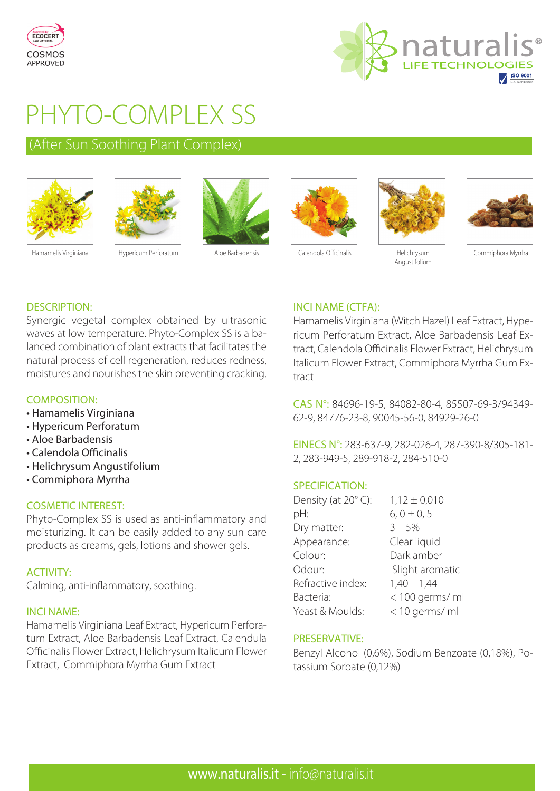



# PHYTO-COMPLEX SS

### (After Sun Soothing Plant Complex)







Hamamelis Virginiana Hypericum Perforatum Aloe Barbadensis Calendola Officinalis Helichrysum





Angustifolium



Commiphora Myrrha

#### DESCRIPTION:

Synergic vegetal complex obtained by ultrasonic waves at low temperature. Phyto-Complex SS is a balanced combination of plant extracts that facilitates the natural process of cell regeneration, reduces redness, moistures and nourishes the skin preventing cracking.

#### COMPOSITION:

- Hamamelis Virginiana
- Hypericum Perforatum
- Aloe Barbadensis
- Calendola Officinalis
- Helichrysum Angustifolium
- Commiphora Myrrha

#### COSMETIC INTEREST:

Phyto-Complex SS is used as anti-inflammatory and moisturizing. It can be easily added to any sun care products as creams, gels, lotions and shower gels.

#### ACTIVITY:

Calming, anti-inflammatory, soothing.

#### INCI NAME:

Hamamelis Virginiana Leaf Extract, Hypericum Perforatum Extract, Aloe Barbadensis Leaf Extract, Calendula Officinalis Flower Extract, Helichrysum Italicum Flower Extract, Commiphora Myrrha Gum Extract

#### INCI NAME (CTFA):

Hamamelis Virginiana (Witch Hazel) Leaf Extract, Hypericum Perforatum Extract, Aloe Barbadensis Leaf Extract, Calendola Officinalis Flower Extract, Helichrysum Italicum Flower Extract, Commiphora Myrrha Gum Extract

CAS N°: 84696-19-5, 84082-80-4, 85507-69-3/94349- 62-9, 84776-23-8, 90045-56-0, 84929-26-0

EINECS N°: 283-637-9, 282-026-4, 287-390-8/305-181- 2, 283-949-5, 289-918-2, 284-510-0

#### SPECIFICATION:

| Density (at 20°C): | $1,12 \pm 0,010$ |
|--------------------|------------------|
| pH:                | $6, 0 \pm 0, 5$  |
| Dry matter:        | $3 - 5%$         |
| Appearance:        | Clear liquid     |
| Colour:            | Dark amber       |
| Odour:             | Slight aromatic  |
| Refractive index:  | $1,40 - 1,44$    |
| Bacteria:          | < 100 germs/ ml  |
| Yeast & Moulds:    | < 10 germs/ ml   |

#### PRESERVATIVE:

Benzyl Alcohol (0,6%), Sodium Benzoate (0,18%), Potassium Sorbate (0,12%)